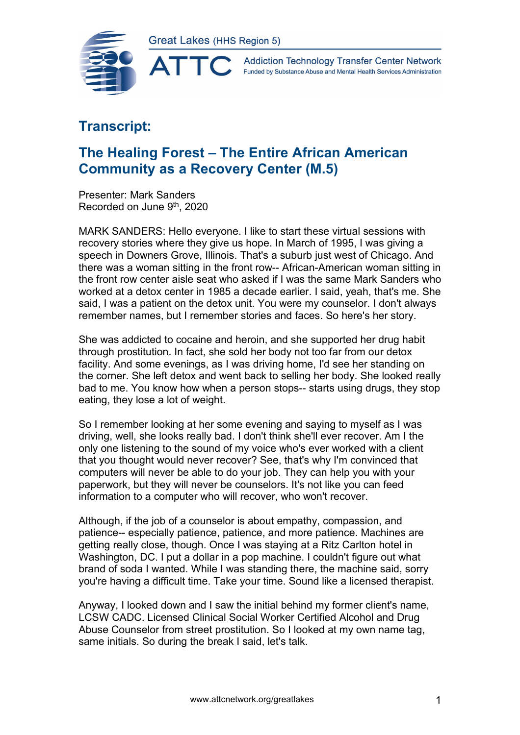

**Addiction Technology Transfer Center Network** Funded by Substance Abuse and Mental Health Services Administration

## **Transcript:**

## **The Healing Forest – The Entire African American Community as a Recovery Center (M.5)**

Presenter: Mark Sanders Recorded on June 9th, 2020

MARK SANDERS: Hello everyone. I like to start these virtual sessions with recovery stories where they give us hope. In March of 1995, I was giving a speech in Downers Grove, Illinois. That's a suburb just west of Chicago. And there was a woman sitting in the front row-- African-American woman sitting in the front row center aisle seat who asked if I was the same Mark Sanders who worked at a detox center in 1985 a decade earlier. I said, yeah, that's me. She said, I was a patient on the detox unit. You were my counselor. I don't always remember names, but I remember stories and faces. So here's her story.

She was addicted to cocaine and heroin, and she supported her drug habit through prostitution. In fact, she sold her body not too far from our detox facility. And some evenings, as I was driving home, I'd see her standing on the corner. She left detox and went back to selling her body. She looked really bad to me. You know how when a person stops-- starts using drugs, they stop eating, they lose a lot of weight.

So I remember looking at her some evening and saying to myself as I was driving, well, she looks really bad. I don't think she'll ever recover. Am I the only one listening to the sound of my voice who's ever worked with a client that you thought would never recover? See, that's why I'm convinced that computers will never be able to do your job. They can help you with your paperwork, but they will never be counselors. It's not like you can feed information to a computer who will recover, who won't recover.

Although, if the job of a counselor is about empathy, compassion, and patience-- especially patience, patience, and more patience. Machines are getting really close, though. Once I was staying at a Ritz Carlton hotel in Washington, DC. I put a dollar in a pop machine. I couldn't figure out what brand of soda I wanted. While I was standing there, the machine said, sorry you're having a difficult time. Take your time. Sound like a licensed therapist.

Anyway, I looked down and I saw the initial behind my former client's name, LCSW CADC. Licensed Clinical Social Worker Certified Alcohol and Drug Abuse Counselor from street prostitution. So I looked at my own name tag, same initials. So during the break I said, let's talk.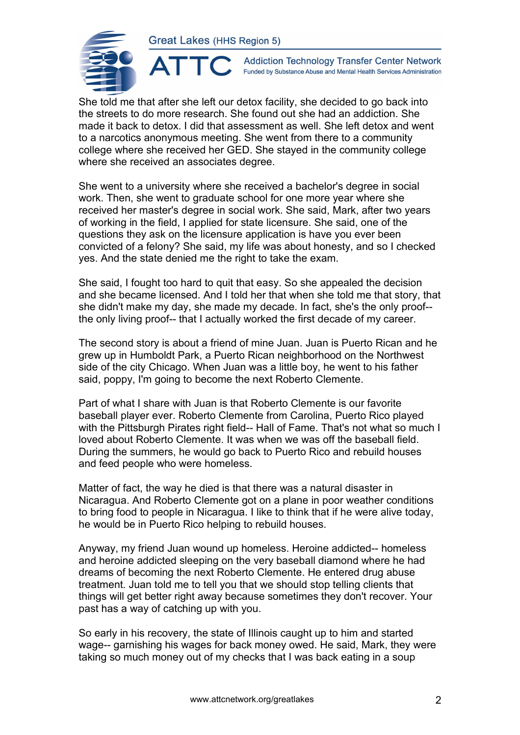

 $\blacktriangle^-$ 

**Addiction Technology Transfer Center Network** Funded by Substance Abuse and Mental Health Services Administration

She told me that after she left our detox facility, she decided to go back into the streets to do more research. She found out she had an addiction. She made it back to detox. I did that assessment as well. She left detox and went to a narcotics anonymous meeting. She went from there to a community college where she received her GED. She stayed in the community college where she received an associates degree.

She went to a university where she received a bachelor's degree in social work. Then, she went to graduate school for one more year where she received her master's degree in social work. She said, Mark, after two years of working in the field, I applied for state licensure. She said, one of the questions they ask on the licensure application is have you ever been convicted of a felony? She said, my life was about honesty, and so I checked yes. And the state denied me the right to take the exam.

She said, I fought too hard to quit that easy. So she appealed the decision and she became licensed. And I told her that when she told me that story, that she didn't make my day, she made my decade. In fact, she's the only proof- the only living proof-- that I actually worked the first decade of my career.

The second story is about a friend of mine Juan. Juan is Puerto Rican and he grew up in Humboldt Park, a Puerto Rican neighborhood on the Northwest side of the city Chicago. When Juan was a little boy, he went to his father said, poppy, I'm going to become the next Roberto Clemente.

Part of what I share with Juan is that Roberto Clemente is our favorite baseball player ever. Roberto Clemente from Carolina, Puerto Rico played with the Pittsburgh Pirates right field-- Hall of Fame. That's not what so much I loved about Roberto Clemente. It was when we was off the baseball field. During the summers, he would go back to Puerto Rico and rebuild houses and feed people who were homeless.

Matter of fact, the way he died is that there was a natural disaster in Nicaragua. And Roberto Clemente got on a plane in poor weather conditions to bring food to people in Nicaragua. I like to think that if he were alive today, he would be in Puerto Rico helping to rebuild houses.

Anyway, my friend Juan wound up homeless. Heroine addicted-- homeless and heroine addicted sleeping on the very baseball diamond where he had dreams of becoming the next Roberto Clemente. He entered drug abuse treatment. Juan told me to tell you that we should stop telling clients that things will get better right away because sometimes they don't recover. Your past has a way of catching up with you.

So early in his recovery, the state of Illinois caught up to him and started wage-- garnishing his wages for back money owed. He said, Mark, they were taking so much money out of my checks that I was back eating in a soup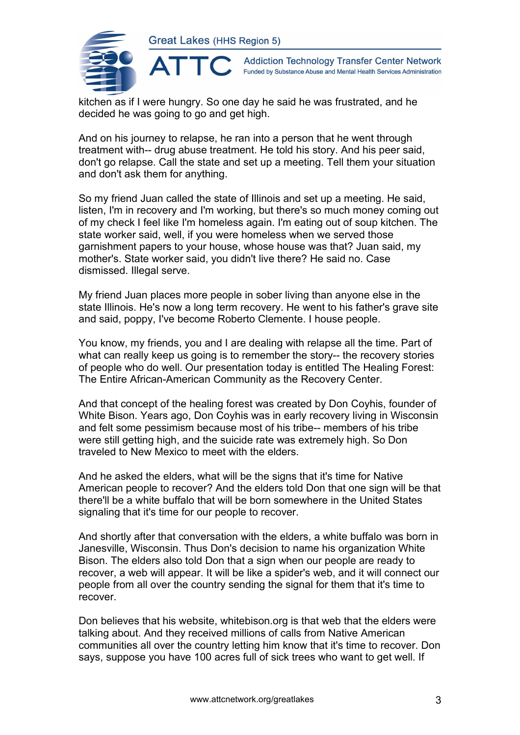

**Addiction Technology Transfer Center Network** Funded by Substance Abuse and Mental Health Services Administration

kitchen as if I were hungry. So one day he said he was frustrated, and he decided he was going to go and get high.

And on his journey to relapse, he ran into a person that he went through treatment with-- drug abuse treatment. He told his story. And his peer said, don't go relapse. Call the state and set up a meeting. Tell them your situation and don't ask them for anything.

So my friend Juan called the state of Illinois and set up a meeting. He said, listen, I'm in recovery and I'm working, but there's so much money coming out of my check I feel like I'm homeless again. I'm eating out of soup kitchen. The state worker said, well, if you were homeless when we served those garnishment papers to your house, whose house was that? Juan said, my mother's. State worker said, you didn't live there? He said no. Case dismissed. Illegal serve.

My friend Juan places more people in sober living than anyone else in the state Illinois. He's now a long term recovery. He went to his father's grave site and said, poppy, I've become Roberto Clemente. I house people.

You know, my friends, you and I are dealing with relapse all the time. Part of what can really keep us going is to remember the story-- the recovery stories of people who do well. Our presentation today is entitled The Healing Forest: The Entire African-American Community as the Recovery Center.

And that concept of the healing forest was created by Don Coyhis, founder of White Bison. Years ago, Don Coyhis was in early recovery living in Wisconsin and felt some pessimism because most of his tribe-- members of his tribe were still getting high, and the suicide rate was extremely high. So Don traveled to New Mexico to meet with the elders.

And he asked the elders, what will be the signs that it's time for Native American people to recover? And the elders told Don that one sign will be that there'll be a white buffalo that will be born somewhere in the United States signaling that it's time for our people to recover.

And shortly after that conversation with the elders, a white buffalo was born in Janesville, Wisconsin. Thus Don's decision to name his organization White Bison. The elders also told Don that a sign when our people are ready to recover, a web will appear. It will be like a spider's web, and it will connect our people from all over the country sending the signal for them that it's time to recover.

Don believes that his website, whitebison.org is that web that the elders were talking about. And they received millions of calls from Native American communities all over the country letting him know that it's time to recover. Don says, suppose you have 100 acres full of sick trees who want to get well. If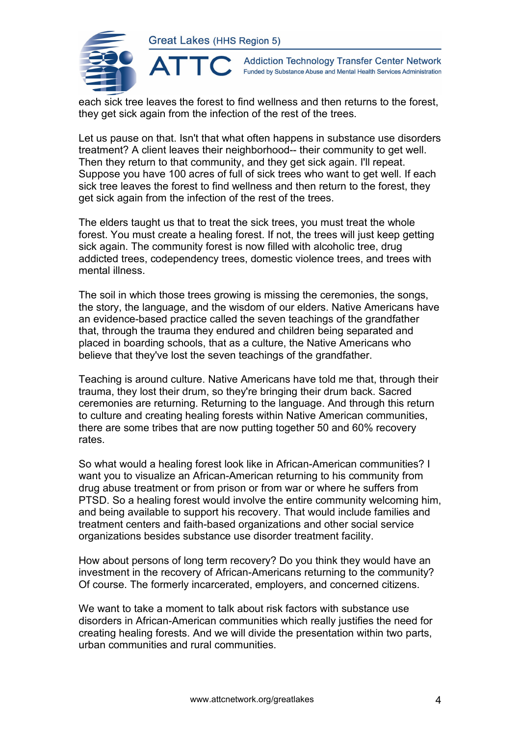ATTO



**Addiction Technology Transfer Center Network** Funded by Substance Abuse and Mental Health Services Administration

each sick tree leaves the forest to find wellness and then returns to the forest, they get sick again from the infection of the rest of the trees.

Let us pause on that. Isn't that what often happens in substance use disorders treatment? A client leaves their neighborhood-- their community to get well. Then they return to that community, and they get sick again. I'll repeat. Suppose you have 100 acres of full of sick trees who want to get well. If each sick tree leaves the forest to find wellness and then return to the forest, they get sick again from the infection of the rest of the trees.

The elders taught us that to treat the sick trees, you must treat the whole forest. You must create a healing forest. If not, the trees will just keep getting sick again. The community forest is now filled with alcoholic tree, drug addicted trees, codependency trees, domestic violence trees, and trees with mental illness.

The soil in which those trees growing is missing the ceremonies, the songs, the story, the language, and the wisdom of our elders. Native Americans have an evidence-based practice called the seven teachings of the grandfather that, through the trauma they endured and children being separated and placed in boarding schools, that as a culture, the Native Americans who believe that they've lost the seven teachings of the grandfather.

Teaching is around culture. Native Americans have told me that, through their trauma, they lost their drum, so they're bringing their drum back. Sacred ceremonies are returning. Returning to the language. And through this return to culture and creating healing forests within Native American communities, there are some tribes that are now putting together 50 and 60% recovery rates.

So what would a healing forest look like in African-American communities? I want you to visualize an African-American returning to his community from drug abuse treatment or from prison or from war or where he suffers from PTSD. So a healing forest would involve the entire community welcoming him, and being available to support his recovery. That would include families and treatment centers and faith-based organizations and other social service organizations besides substance use disorder treatment facility.

How about persons of long term recovery? Do you think they would have an investment in the recovery of African-Americans returning to the community? Of course. The formerly incarcerated, employers, and concerned citizens.

We want to take a moment to talk about risk factors with substance use disorders in African-American communities which really justifies the need for creating healing forests. And we will divide the presentation within two parts, urban communities and rural communities.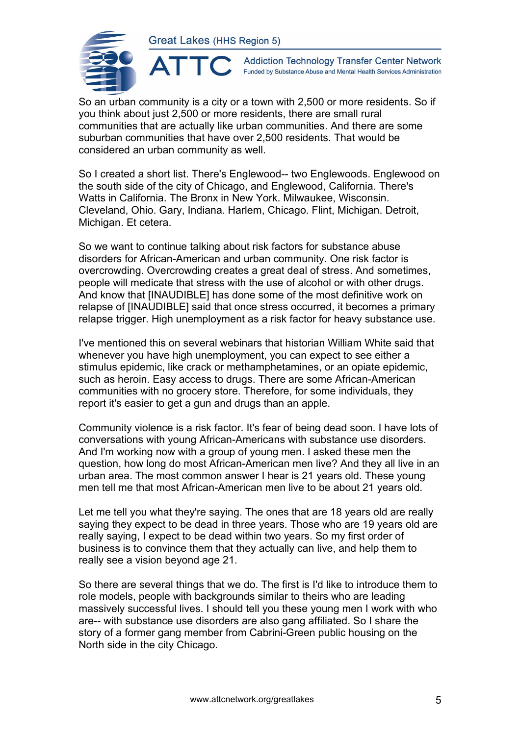**ATTO** 



**Addiction Technology Transfer Center Network** Funded by Substance Abuse and Mental Health Services Administration

So an urban community is a city or a town with 2,500 or more residents. So if you think about just 2,500 or more residents, there are small rural communities that are actually like urban communities. And there are some suburban communities that have over 2,500 residents. That would be considered an urban community as well.

So I created a short list. There's Englewood-- two Englewoods. Englewood on the south side of the city of Chicago, and Englewood, California. There's Watts in California. The Bronx in New York. Milwaukee, Wisconsin. Cleveland, Ohio. Gary, Indiana. Harlem, Chicago. Flint, Michigan. Detroit, Michigan. Et cetera.

So we want to continue talking about risk factors for substance abuse disorders for African-American and urban community. One risk factor is overcrowding. Overcrowding creates a great deal of stress. And sometimes, people will medicate that stress with the use of alcohol or with other drugs. And know that [INAUDIBLE] has done some of the most definitive work on relapse of [INAUDIBLE] said that once stress occurred, it becomes a primary relapse trigger. High unemployment as a risk factor for heavy substance use.

I've mentioned this on several webinars that historian William White said that whenever you have high unemployment, you can expect to see either a stimulus epidemic, like crack or methamphetamines, or an opiate epidemic, such as heroin. Easy access to drugs. There are some African-American communities with no grocery store. Therefore, for some individuals, they report it's easier to get a gun and drugs than an apple.

Community violence is a risk factor. It's fear of being dead soon. I have lots of conversations with young African-Americans with substance use disorders. And I'm working now with a group of young men. I asked these men the question, how long do most African-American men live? And they all live in an urban area. The most common answer I hear is 21 years old. These young men tell me that most African-American men live to be about 21 years old.

Let me tell you what they're saying. The ones that are 18 years old are really saying they expect to be dead in three years. Those who are 19 years old are really saying, I expect to be dead within two years. So my first order of business is to convince them that they actually can live, and help them to really see a vision beyond age 21.

So there are several things that we do. The first is I'd like to introduce them to role models, people with backgrounds similar to theirs who are leading massively successful lives. I should tell you these young men I work with who are-- with substance use disorders are also gang affiliated. So I share the story of a former gang member from Cabrini-Green public housing on the North side in the city Chicago.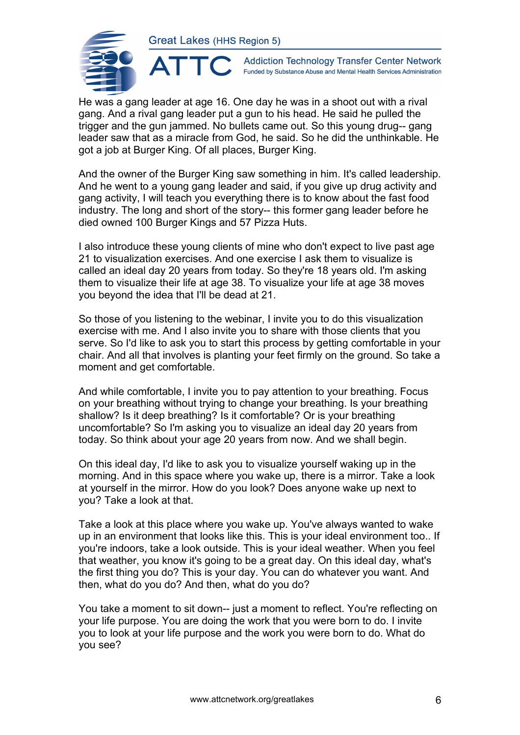

**Addiction Technology Transfer Center Network** Funded by Substance Abuse and Mental Health Services Administration

He was a gang leader at age 16. One day he was in a shoot out with a rival gang. And a rival gang leader put a gun to his head. He said he pulled the trigger and the gun jammed. No bullets came out. So this young drug-- gang leader saw that as a miracle from God, he said. So he did the unthinkable. He got a job at Burger King. Of all places, Burger King.

And the owner of the Burger King saw something in him. It's called leadership. And he went to a young gang leader and said, if you give up drug activity and gang activity, I will teach you everything there is to know about the fast food industry. The long and short of the story-- this former gang leader before he died owned 100 Burger Kings and 57 Pizza Huts.

I also introduce these young clients of mine who don't expect to live past age 21 to visualization exercises. And one exercise I ask them to visualize is called an ideal day 20 years from today. So they're 18 years old. I'm asking them to visualize their life at age 38. To visualize your life at age 38 moves you beyond the idea that I'll be dead at 21.

So those of you listening to the webinar, I invite you to do this visualization exercise with me. And I also invite you to share with those clients that you serve. So I'd like to ask you to start this process by getting comfortable in your chair. And all that involves is planting your feet firmly on the ground. So take a moment and get comfortable.

And while comfortable, I invite you to pay attention to your breathing. Focus on your breathing without trying to change your breathing. Is your breathing shallow? Is it deep breathing? Is it comfortable? Or is your breathing uncomfortable? So I'm asking you to visualize an ideal day 20 years from today. So think about your age 20 years from now. And we shall begin.

On this ideal day, I'd like to ask you to visualize yourself waking up in the morning. And in this space where you wake up, there is a mirror. Take a look at yourself in the mirror. How do you look? Does anyone wake up next to you? Take a look at that.

Take a look at this place where you wake up. You've always wanted to wake up in an environment that looks like this. This is your ideal environment too.. If you're indoors, take a look outside. This is your ideal weather. When you feel that weather, you know it's going to be a great day. On this ideal day, what's the first thing you do? This is your day. You can do whatever you want. And then, what do you do? And then, what do you do?

You take a moment to sit down-- just a moment to reflect. You're reflecting on your life purpose. You are doing the work that you were born to do. I invite you to look at your life purpose and the work you were born to do. What do you see?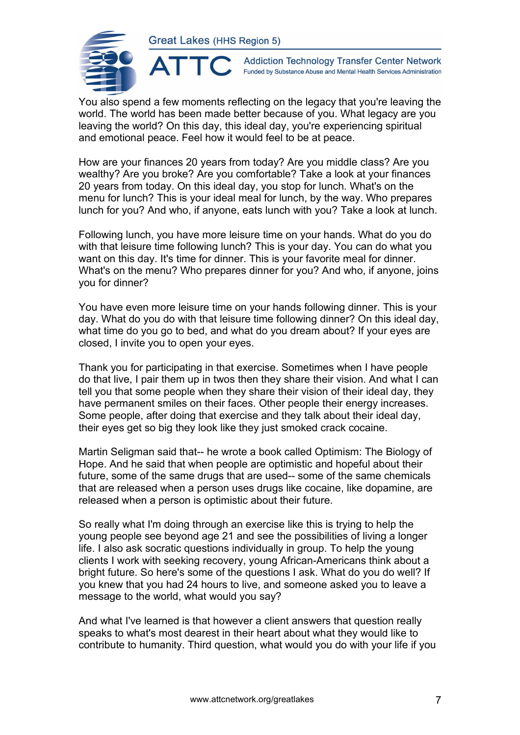

**Addiction Technology Transfer Center Network** Funded by Substance Abuse and Mental Health Services Administration

You also spend a few moments reflecting on the legacy that you're leaving the world. The world has been made better because of you. What legacy are you leaving the world? On this day, this ideal day, you're experiencing spiritual and emotional peace. Feel how it would feel to be at peace.

How are your finances 20 years from today? Are you middle class? Are you wealthy? Are you broke? Are you comfortable? Take a look at your finances 20 years from today. On this ideal day, you stop for lunch. What's on the menu for lunch? This is your ideal meal for lunch, by the way. Who prepares lunch for you? And who, if anyone, eats lunch with you? Take a look at lunch.

Following lunch, you have more leisure time on your hands. What do you do with that leisure time following lunch? This is your day. You can do what you want on this day. It's time for dinner. This is your favorite meal for dinner. What's on the menu? Who prepares dinner for you? And who, if anyone, joins you for dinner?

You have even more leisure time on your hands following dinner. This is your day. What do you do with that leisure time following dinner? On this ideal day, what time do you go to bed, and what do you dream about? If your eyes are closed, I invite you to open your eyes.

Thank you for participating in that exercise. Sometimes when I have people do that live, I pair them up in twos then they share their vision. And what I can tell you that some people when they share their vision of their ideal day, they have permanent smiles on their faces. Other people their energy increases. Some people, after doing that exercise and they talk about their ideal day, their eyes get so big they look like they just smoked crack cocaine.

Martin Seligman said that-- he wrote a book called Optimism: The Biology of Hope. And he said that when people are optimistic and hopeful about their future, some of the same drugs that are used-- some of the same chemicals that are released when a person uses drugs like cocaine, like dopamine, are released when a person is optimistic about their future.

So really what I'm doing through an exercise like this is trying to help the young people see beyond age 21 and see the possibilities of living a longer life. I also ask socratic questions individually in group. To help the young clients I work with seeking recovery, young African-Americans think about a bright future. So here's some of the questions I ask. What do you do well? If you knew that you had 24 hours to live, and someone asked you to leave a message to the world, what would you say?

And what I've learned is that however a client answers that question really speaks to what's most dearest in their heart about what they would like to contribute to humanity. Third question, what would you do with your life if you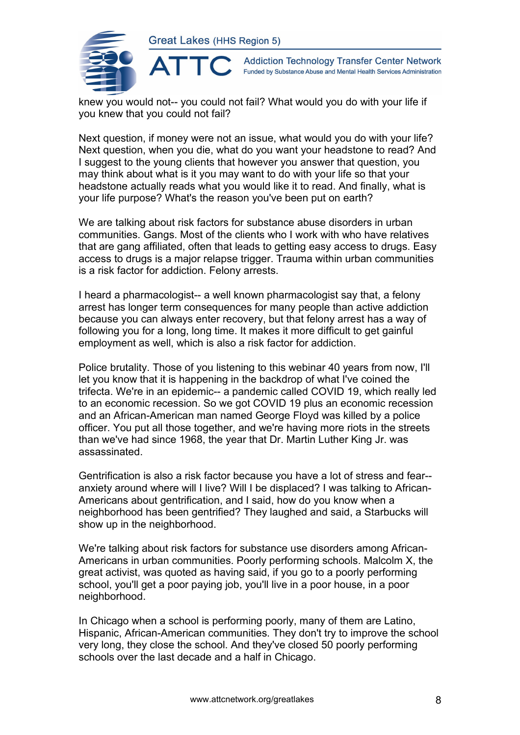

**Addiction Technology Transfer Center Network** Funded by Substance Abuse and Mental Health Services Administration

knew you would not-- you could not fail? What would you do with your life if you knew that you could not fail?

Next question, if money were not an issue, what would you do with your life? Next question, when you die, what do you want your headstone to read? And I suggest to the young clients that however you answer that question, you may think about what is it you may want to do with your life so that your headstone actually reads what you would like it to read. And finally, what is your life purpose? What's the reason you've been put on earth?

We are talking about risk factors for substance abuse disorders in urban communities. Gangs. Most of the clients who I work with who have relatives that are gang affiliated, often that leads to getting easy access to drugs. Easy access to drugs is a major relapse trigger. Trauma within urban communities is a risk factor for addiction. Felony arrests.

I heard a pharmacologist-- a well known pharmacologist say that, a felony arrest has longer term consequences for many people than active addiction because you can always enter recovery, but that felony arrest has a way of following you for a long, long time. It makes it more difficult to get gainful employment as well, which is also a risk factor for addiction.

Police brutality. Those of you listening to this webinar 40 years from now, I'll let you know that it is happening in the backdrop of what I've coined the trifecta. We're in an epidemic-- a pandemic called COVID 19, which really led to an economic recession. So we got COVID 19 plus an economic recession and an African-American man named George Floyd was killed by a police officer. You put all those together, and we're having more riots in the streets than we've had since 1968, the year that Dr. Martin Luther King Jr. was assassinated.

Gentrification is also a risk factor because you have a lot of stress and fear- anxiety around where will I live? Will I be displaced? I was talking to African-Americans about gentrification, and I said, how do you know when a neighborhood has been gentrified? They laughed and said, a Starbucks will show up in the neighborhood.

We're talking about risk factors for substance use disorders among African-Americans in urban communities. Poorly performing schools. Malcolm X, the great activist, was quoted as having said, if you go to a poorly performing school, you'll get a poor paying job, you'll live in a poor house, in a poor neighborhood.

In Chicago when a school is performing poorly, many of them are Latino, Hispanic, African-American communities. They don't try to improve the school very long, they close the school. And they've closed 50 poorly performing schools over the last decade and a half in Chicago.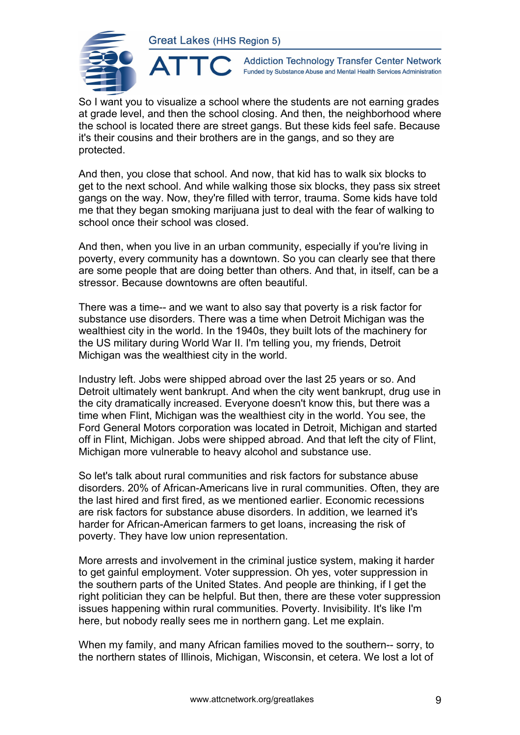ATTO



**Addiction Technology Transfer Center Network** Funded by Substance Abuse and Mental Health Services Administration

So I want you to visualize a school where the students are not earning grades at grade level, and then the school closing. And then, the neighborhood where the school is located there are street gangs. But these kids feel safe. Because it's their cousins and their brothers are in the gangs, and so they are protected.

And then, you close that school. And now, that kid has to walk six blocks to get to the next school. And while walking those six blocks, they pass six street gangs on the way. Now, they're filled with terror, trauma. Some kids have told me that they began smoking marijuana just to deal with the fear of walking to school once their school was closed.

And then, when you live in an urban community, especially if you're living in poverty, every community has a downtown. So you can clearly see that there are some people that are doing better than others. And that, in itself, can be a stressor. Because downtowns are often beautiful.

There was a time-- and we want to also say that poverty is a risk factor for substance use disorders. There was a time when Detroit Michigan was the wealthiest city in the world. In the 1940s, they built lots of the machinery for the US military during World War II. I'm telling you, my friends, Detroit Michigan was the wealthiest city in the world.

Industry left. Jobs were shipped abroad over the last 25 years or so. And Detroit ultimately went bankrupt. And when the city went bankrupt, drug use in the city dramatically increased. Everyone doesn't know this, but there was a time when Flint, Michigan was the wealthiest city in the world. You see, the Ford General Motors corporation was located in Detroit, Michigan and started off in Flint, Michigan. Jobs were shipped abroad. And that left the city of Flint, Michigan more vulnerable to heavy alcohol and substance use.

So let's talk about rural communities and risk factors for substance abuse disorders. 20% of African-Americans live in rural communities. Often, they are the last hired and first fired, as we mentioned earlier. Economic recessions are risk factors for substance abuse disorders. In addition, we learned it's harder for African-American farmers to get loans, increasing the risk of poverty. They have low union representation.

More arrests and involvement in the criminal justice system, making it harder to get gainful employment. Voter suppression. Oh yes, voter suppression in the southern parts of the United States. And people are thinking, if I get the right politician they can be helpful. But then, there are these voter suppression issues happening within rural communities. Poverty. Invisibility. It's like I'm here, but nobody really sees me in northern gang. Let me explain.

When my family, and many African families moved to the southern-- sorry, to the northern states of Illinois, Michigan, Wisconsin, et cetera. We lost a lot of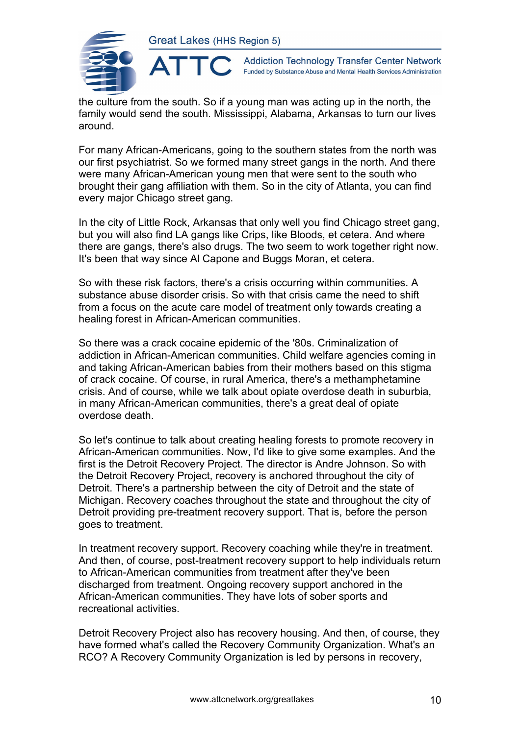

 $\blacktriangle$ 

**Addiction Technology Transfer Center Network** Funded by Substance Abuse and Mental Health Services Administration

the culture from the south. So if a young man was acting up in the north, the family would send the south. Mississippi, Alabama, Arkansas to turn our lives around.

For many African-Americans, going to the southern states from the north was our first psychiatrist. So we formed many street gangs in the north. And there were many African-American young men that were sent to the south who brought their gang affiliation with them. So in the city of Atlanta, you can find every major Chicago street gang.

In the city of Little Rock, Arkansas that only well you find Chicago street gang, but you will also find LA gangs like Crips, like Bloods, et cetera. And where there are gangs, there's also drugs. The two seem to work together right now. It's been that way since Al Capone and Buggs Moran, et cetera.

So with these risk factors, there's a crisis occurring within communities. A substance abuse disorder crisis. So with that crisis came the need to shift from a focus on the acute care model of treatment only towards creating a healing forest in African-American communities.

So there was a crack cocaine epidemic of the '80s. Criminalization of addiction in African-American communities. Child welfare agencies coming in and taking African-American babies from their mothers based on this stigma of crack cocaine. Of course, in rural America, there's a methamphetamine crisis. And of course, while we talk about opiate overdose death in suburbia, in many African-American communities, there's a great deal of opiate overdose death.

So let's continue to talk about creating healing forests to promote recovery in African-American communities. Now, I'd like to give some examples. And the first is the Detroit Recovery Project. The director is Andre Johnson. So with the Detroit Recovery Project, recovery is anchored throughout the city of Detroit. There's a partnership between the city of Detroit and the state of Michigan. Recovery coaches throughout the state and throughout the city of Detroit providing pre-treatment recovery support. That is, before the person goes to treatment.

In treatment recovery support. Recovery coaching while they're in treatment. And then, of course, post-treatment recovery support to help individuals return to African-American communities from treatment after they've been discharged from treatment. Ongoing recovery support anchored in the African-American communities. They have lots of sober sports and recreational activities.

Detroit Recovery Project also has recovery housing. And then, of course, they have formed what's called the Recovery Community Organization. What's an RCO? A Recovery Community Organization is led by persons in recovery,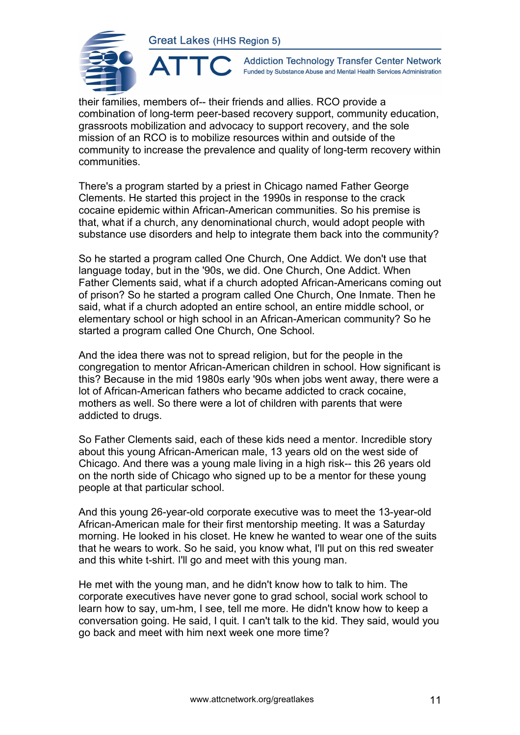ATTO



**Addiction Technology Transfer Center Network** Funded by Substance Abuse and Mental Health Services Administration

their families, members of-- their friends and allies. RCO provide a combination of long-term peer-based recovery support, community education, grassroots mobilization and advocacy to support recovery, and the sole mission of an RCO is to mobilize resources within and outside of the community to increase the prevalence and quality of long-term recovery within communities.

There's a program started by a priest in Chicago named Father George Clements. He started this project in the 1990s in response to the crack cocaine epidemic within African-American communities. So his premise is that, what if a church, any denominational church, would adopt people with substance use disorders and help to integrate them back into the community?

So he started a program called One Church, One Addict. We don't use that language today, but in the '90s, we did. One Church, One Addict. When Father Clements said, what if a church adopted African-Americans coming out of prison? So he started a program called One Church, One Inmate. Then he said, what if a church adopted an entire school, an entire middle school, or elementary school or high school in an African-American community? So he started a program called One Church, One School.

And the idea there was not to spread religion, but for the people in the congregation to mentor African-American children in school. How significant is this? Because in the mid 1980s early '90s when jobs went away, there were a lot of African-American fathers who became addicted to crack cocaine, mothers as well. So there were a lot of children with parents that were addicted to drugs.

So Father Clements said, each of these kids need a mentor. Incredible story about this young African-American male, 13 years old on the west side of Chicago. And there was a young male living in a high risk-- this 26 years old on the north side of Chicago who signed up to be a mentor for these young people at that particular school.

And this young 26-year-old corporate executive was to meet the 13-year-old African-American male for their first mentorship meeting. It was a Saturday morning. He looked in his closet. He knew he wanted to wear one of the suits that he wears to work. So he said, you know what, I'll put on this red sweater and this white t-shirt. I'll go and meet with this young man.

He met with the young man, and he didn't know how to talk to him. The corporate executives have never gone to grad school, social work school to learn how to say, um-hm, I see, tell me more. He didn't know how to keep a conversation going. He said, I quit. I can't talk to the kid. They said, would you go back and meet with him next week one more time?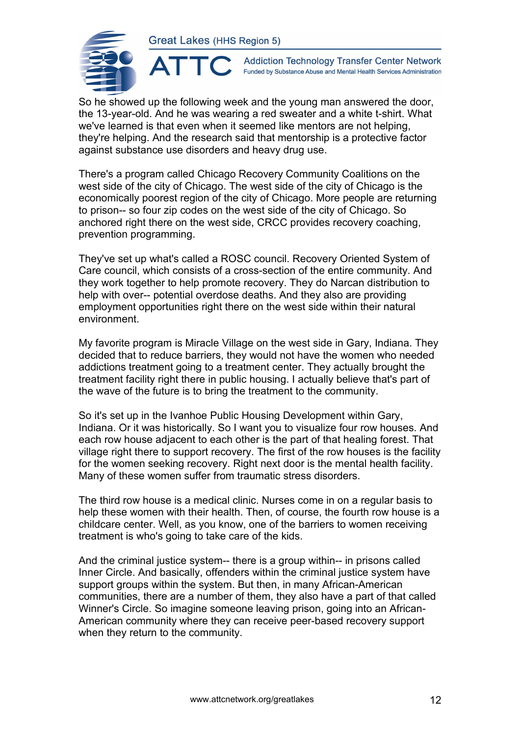ATTC



**Addiction Technology Transfer Center Network** Funded by Substance Abuse and Mental Health Services Administration

So he showed up the following week and the young man answered the door, the 13-year-old. And he was wearing a red sweater and a white t-shirt. What we've learned is that even when it seemed like mentors are not helping, they're helping. And the research said that mentorship is a protective factor against substance use disorders and heavy drug use.

There's a program called Chicago Recovery Community Coalitions on the west side of the city of Chicago. The west side of the city of Chicago is the economically poorest region of the city of Chicago. More people are returning to prison-- so four zip codes on the west side of the city of Chicago. So anchored right there on the west side, CRCC provides recovery coaching, prevention programming.

They've set up what's called a ROSC council. Recovery Oriented System of Care council, which consists of a cross-section of the entire community. And they work together to help promote recovery. They do Narcan distribution to help with over-- potential overdose deaths. And they also are providing employment opportunities right there on the west side within their natural environment.

My favorite program is Miracle Village on the west side in Gary, Indiana. They decided that to reduce barriers, they would not have the women who needed addictions treatment going to a treatment center. They actually brought the treatment facility right there in public housing. I actually believe that's part of the wave of the future is to bring the treatment to the community.

So it's set up in the Ivanhoe Public Housing Development within Gary, Indiana. Or it was historically. So I want you to visualize four row houses. And each row house adjacent to each other is the part of that healing forest. That village right there to support recovery. The first of the row houses is the facility for the women seeking recovery. Right next door is the mental health facility. Many of these women suffer from traumatic stress disorders.

The third row house is a medical clinic. Nurses come in on a regular basis to help these women with their health. Then, of course, the fourth row house is a childcare center. Well, as you know, one of the barriers to women receiving treatment is who's going to take care of the kids.

And the criminal justice system-- there is a group within-- in prisons called Inner Circle. And basically, offenders within the criminal justice system have support groups within the system. But then, in many African-American communities, there are a number of them, they also have a part of that called Winner's Circle. So imagine someone leaving prison, going into an African-American community where they can receive peer-based recovery support when they return to the community.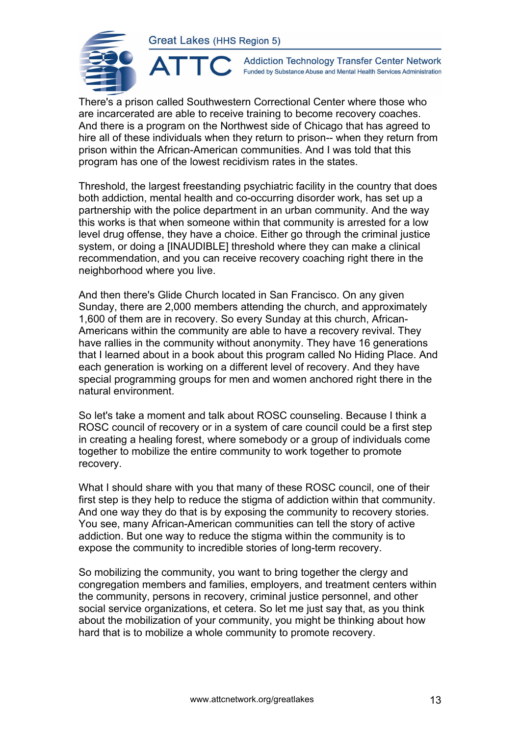

**Addiction Technology Transfer Center Network** Funded by Substance Abuse and Mental Health Services Administration

There's a prison called Southwestern Correctional Center where those who are incarcerated are able to receive training to become recovery coaches. And there is a program on the Northwest side of Chicago that has agreed to hire all of these individuals when they return to prison-- when they return from prison within the African-American communities. And I was told that this program has one of the lowest recidivism rates in the states.

Threshold, the largest freestanding psychiatric facility in the country that does both addiction, mental health and co-occurring disorder work, has set up a partnership with the police department in an urban community. And the way this works is that when someone within that community is arrested for a low level drug offense, they have a choice. Either go through the criminal justice system, or doing a [INAUDIBLE] threshold where they can make a clinical recommendation, and you can receive recovery coaching right there in the neighborhood where you live.

And then there's Glide Church located in San Francisco. On any given Sunday, there are 2,000 members attending the church, and approximately 1,600 of them are in recovery. So every Sunday at this church, African-Americans within the community are able to have a recovery revival. They have rallies in the community without anonymity. They have 16 generations that I learned about in a book about this program called No Hiding Place. And each generation is working on a different level of recovery. And they have special programming groups for men and women anchored right there in the natural environment.

So let's take a moment and talk about ROSC counseling. Because I think a ROSC council of recovery or in a system of care council could be a first step in creating a healing forest, where somebody or a group of individuals come together to mobilize the entire community to work together to promote recovery.

What I should share with you that many of these ROSC council, one of their first step is they help to reduce the stigma of addiction within that community. And one way they do that is by exposing the community to recovery stories. You see, many African-American communities can tell the story of active addiction. But one way to reduce the stigma within the community is to expose the community to incredible stories of long-term recovery.

So mobilizing the community, you want to bring together the clergy and congregation members and families, employers, and treatment centers within the community, persons in recovery, criminal justice personnel, and other social service organizations, et cetera. So let me just say that, as you think about the mobilization of your community, you might be thinking about how hard that is to mobilize a whole community to promote recovery.